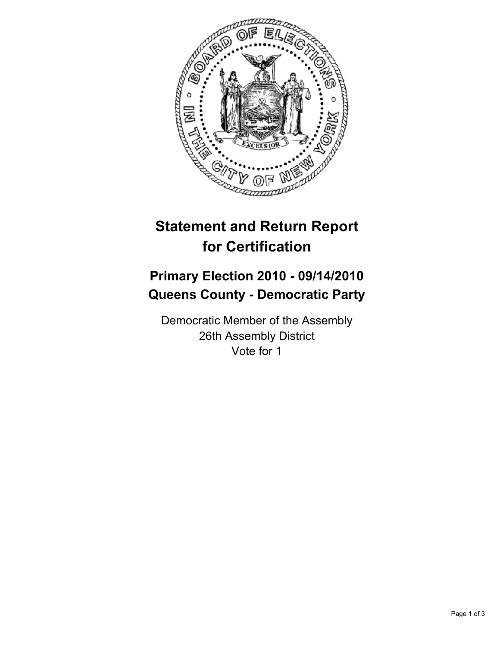

## **Statement and Return Report for Certification**

## **Primary Election 2010 - 09/14/2010 Queens County - Democratic Party**

Democratic Member of the Assembly 26th Assembly District Vote for 1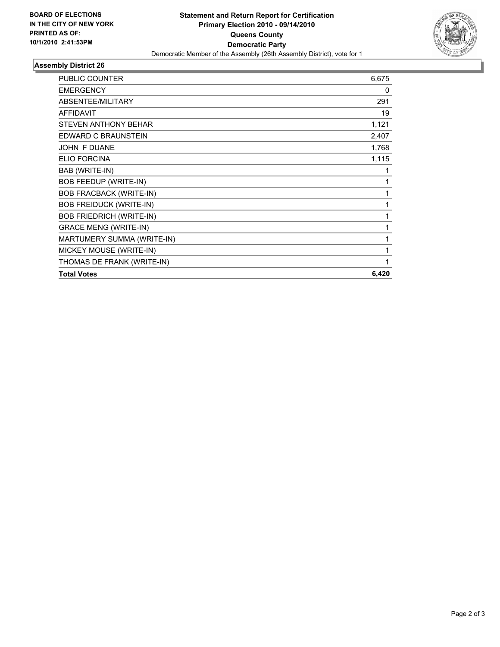

## **Assembly District 26**

| PUBLIC COUNTER                  | 6,675 |
|---------------------------------|-------|
| <b>EMERGENCY</b>                | 0     |
| ABSENTEE/MILITARY               | 291   |
| <b>AFFIDAVIT</b>                | 19    |
| STEVEN ANTHONY BEHAR            | 1,121 |
| EDWARD C BRAUNSTEIN             | 2,407 |
| JOHN F DUANE                    | 1,768 |
| <b>ELIO FORCINA</b>             | 1,115 |
| BAB (WRITE-IN)                  | 1     |
| <b>BOB FEEDUP (WRITE-IN)</b>    | 1     |
| <b>BOB FRACBACK (WRITE-IN)</b>  | 1     |
| <b>BOB FREIDUCK (WRITE-IN)</b>  | 1     |
| <b>BOB FRIEDRICH (WRITE-IN)</b> | 1     |
| <b>GRACE MENG (WRITE-IN)</b>    | 1     |
| MARTUMERY SUMMA (WRITE-IN)      | 1     |
| MICKEY MOUSE (WRITE-IN)         | 1     |
| THOMAS DE FRANK (WRITE-IN)      | 1     |
| <b>Total Votes</b>              | 6,420 |